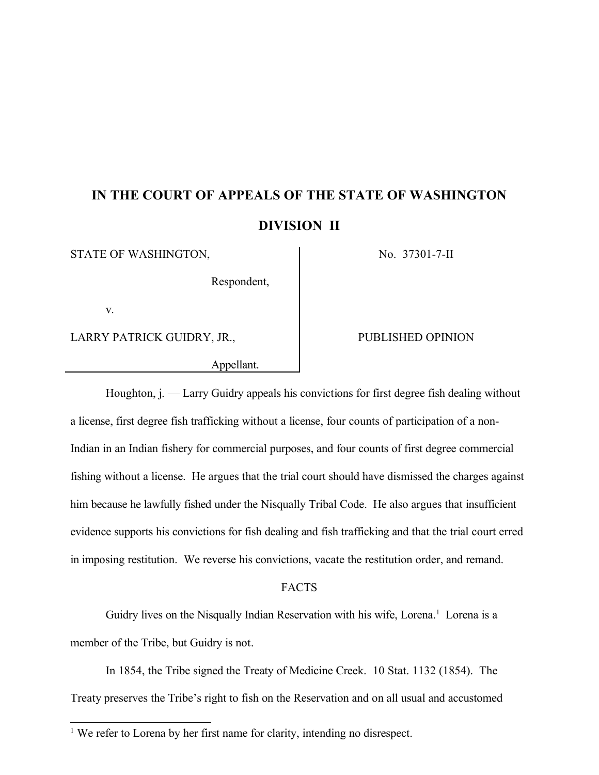# **IN THE COURT OF APPEALS OF THE STATE OF WASHINGTON DIVISION II**

STATE OF WASHINGTON, No. 37301-7-II

Respondent,

v.

LARRY PATRICK GUIDRY, JR., PUBLISHED OPINION

Appellant.

Houghton, j. — Larry Guidry appeals his convictions for first degree fish dealing without a license, first degree fish trafficking without a license, four counts of participation of a non-Indian in an Indian fishery for commercial purposes, and four counts of first degree commercial fishing without a license. He argues that the trial court should have dismissed the charges against him because he lawfully fished under the Nisqually Tribal Code. He also argues that insufficient evidence supports his convictions for fish dealing and fish trafficking and that the trial court erred in imposing restitution. We reverse his convictions, vacate the restitution order, and remand.

#### FACTS

Guidry lives on the Nisqually Indian Reservation with his wife, Lorena. <sup>1</sup> Lorena is a member of the Tribe, but Guidry is not.

In 1854, the Tribe signed the Treaty of Medicine Creek. 10 Stat. 1132 (1854). The Treaty preserves the Tribe's right to fish on the Reservation and on all usual and accustomed

<sup>&</sup>lt;sup>1</sup> We refer to Lorena by her first name for clarity, intending no disrespect.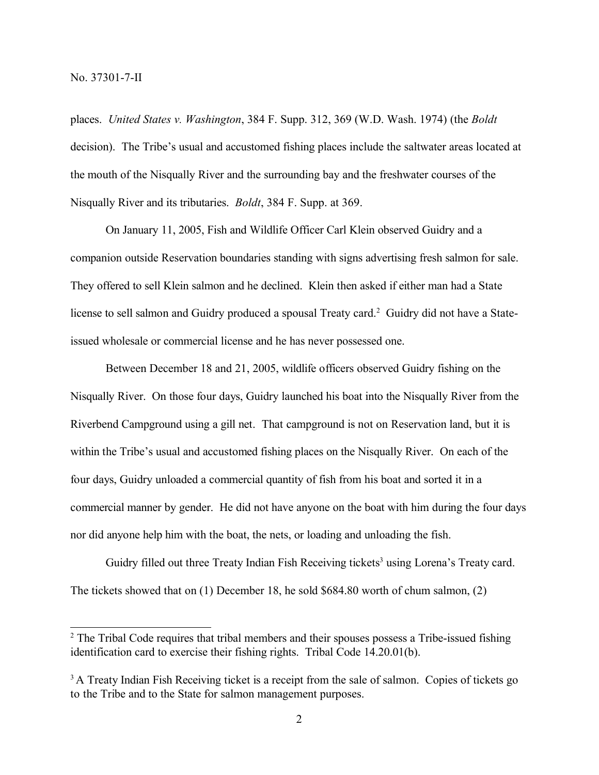places. *United States v. Washington*, 384 F. Supp. 312, 369 (W.D. Wash. 1974) (the *Boldt*  decision). The Tribe's usual and accustomed fishing places include the saltwater areas located at the mouth of the Nisqually River and the surrounding bay and the freshwater courses of the Nisqually River and its tributaries. *Boldt*, 384 F. Supp. at 369.

On January 11, 2005, Fish and Wildlife Officer Carl Klein observed Guidry and a companion outside Reservation boundaries standing with signs advertising fresh salmon for sale. They offered to sell Klein salmon and he declined. Klein then asked if either man had a State license to sell salmon and Guidry produced a spousal Treaty card.<sup>2</sup> Guidry did not have a Stateissued wholesale or commercial license and he has never possessed one.

Between December 18 and 21, 2005, wildlife officers observed Guidry fishing on the Nisqually River. On those four days, Guidry launched his boat into the Nisqually River from the Riverbend Campground using a gill net. That campground is not on Reservation land, but it is within the Tribe's usual and accustomed fishing places on the Nisqually River. On each of the four days, Guidry unloaded a commercial quantity of fish from his boat and sorted it in a commercial manner by gender. He did not have anyone on the boat with him during the four days nor did anyone help him with the boat, the nets, or loading and unloading the fish.

Guidry filled out three Treaty Indian Fish Receiving tickets<sup>3</sup> using Lorena's Treaty card. The tickets showed that on (1) December 18, he sold \$684.80 worth of chum salmon, (2)

<sup>&</sup>lt;sup>2</sup> The Tribal Code requires that tribal members and their spouses possess a Tribe-issued fishing identification card to exercise their fishing rights. Tribal Code 14.20.01(b).

<sup>&</sup>lt;sup>3</sup> A Treaty Indian Fish Receiving ticket is a receipt from the sale of salmon. Copies of tickets go to the Tribe and to the State for salmon management purposes.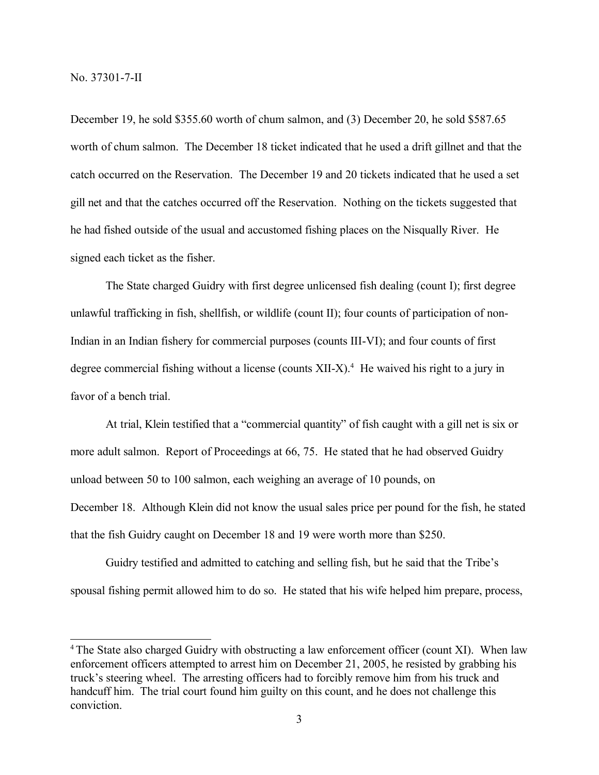December 19, he sold \$355.60 worth of chum salmon, and (3) December 20, he sold \$587.65 worth of chum salmon. The December 18 ticket indicated that he used a drift gillnet and that the catch occurred on the Reservation. The December 19 and 20 tickets indicated that he used a set gill net and that the catches occurred off the Reservation. Nothing on the tickets suggested that he had fished outside of the usual and accustomed fishing places on the Nisqually River. He signed each ticket as the fisher.

The State charged Guidry with first degree unlicensed fish dealing (count I); first degree unlawful trafficking in fish, shellfish, or wildlife (count II); four counts of participation of non-Indian in an Indian fishery for commercial purposes (counts III-VI); and four counts of first degree commercial fishing without a license (counts  $XII-X$ ).<sup>4</sup> He waived his right to a jury in favor of a bench trial.

At trial, Klein testified that a "commercial quantity" of fish caught with a gill net is six or more adult salmon. Report of Proceedings at 66, 75. He stated that he had observed Guidry unload between 50 to 100 salmon, each weighing an average of 10 pounds, on December 18. Although Klein did not know the usual sales price per pound for the fish, he stated that the fish Guidry caught on December 18 and 19 were worth more than \$250.

Guidry testified and admitted to catching and selling fish, but he said that the Tribe's spousal fishing permit allowed him to do so. He stated that his wife helped him prepare, process,

<sup>&</sup>lt;sup>4</sup> The State also charged Guidry with obstructing a law enforcement officer (count XI). When law enforcement officers attempted to arrest him on December 21, 2005, he resisted by grabbing his truck's steering wheel. The arresting officers had to forcibly remove him from his truck and handcuff him. The trial court found him guilty on this count, and he does not challenge this conviction.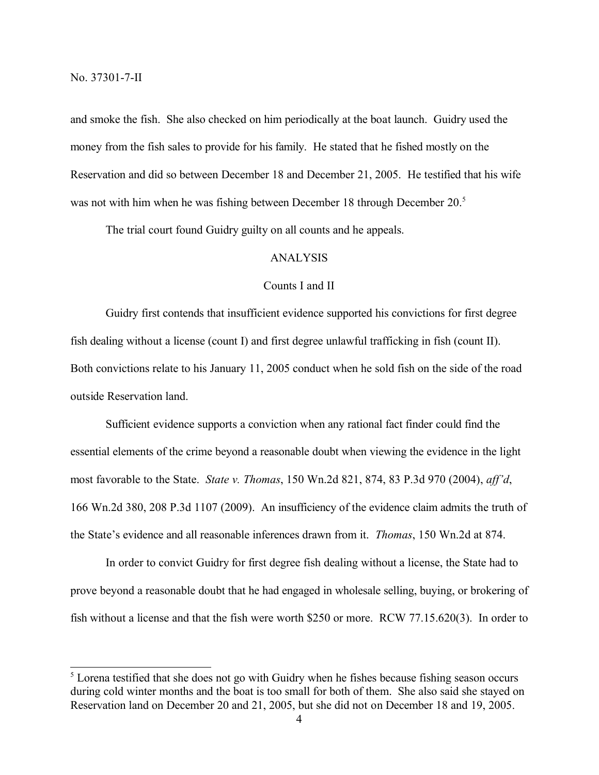and smoke the fish. She also checked on him periodically at the boat launch. Guidry used the money from the fish sales to provide for his family. He stated that he fished mostly on the Reservation and did so between December 18 and December 21, 2005. He testified that his wife was not with him when he was fishing between December 18 through December 20.<sup>5</sup>

The trial court found Guidry guilty on all counts and he appeals.

#### ANALYSIS

### Counts I and II

Guidry first contends that insufficient evidence supported his convictions for first degree fish dealing without a license (count I) and first degree unlawful trafficking in fish (count II). Both convictions relate to his January 11, 2005 conduct when he sold fish on the side of the road outside Reservation land.

Sufficient evidence supports a conviction when any rational fact finder could find the essential elements of the crime beyond a reasonable doubt when viewing the evidence in the light most favorable to the State. *State v. Thomas*, 150 Wn.2d 821, 874, 83 P.3d 970 (2004), *aff'd*, 166 Wn.2d 380, 208 P.3d 1107 (2009). An insufficiency of the evidence claim admits the truth of the State's evidence and all reasonable inferences drawn from it. *Thomas*, 150 Wn.2d at 874.

In order to convict Guidry for first degree fish dealing without a license, the State had to prove beyond a reasonable doubt that he had engaged in wholesale selling, buying, or brokering of fish without a license and that the fish were worth \$250 or more. RCW 77.15.620(3). In order to

<sup>&</sup>lt;sup>5</sup> Lorena testified that she does not go with Guidry when he fishes because fishing season occurs during cold winter months and the boat is too small for both of them. She also said she stayed on Reservation land on December 20 and 21, 2005, but she did not on December 18 and 19, 2005.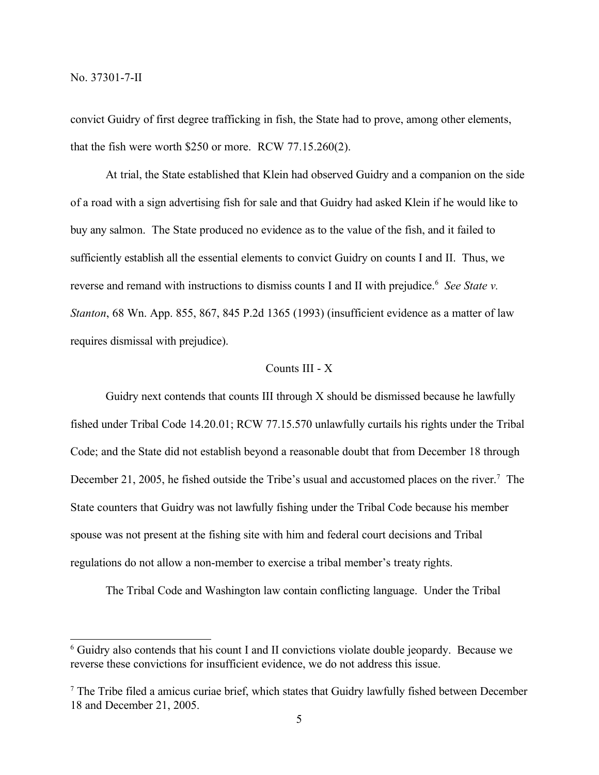convict Guidry of first degree trafficking in fish, the State had to prove, among other elements, that the fish were worth \$250 or more. RCW 77.15.260(2).

At trial, the State established that Klein had observed Guidry and a companion on the side of a road with a sign advertising fish for sale and that Guidry had asked Klein if he would like to buy any salmon. The State produced no evidence as to the value of the fish, and it failed to sufficiently establish all the essential elements to convict Guidry on counts I and II. Thus, we reverse and remand with instructions to dismiss counts I and II with prejudice.<sup>6</sup> See State v. *Stanton*, 68 Wn. App. 855, 867, 845 P.2d 1365 (1993) (insufficient evidence as a matter of law requires dismissal with prejudice).

## Counts III - X

Guidry next contends that counts III through X should be dismissed because he lawfully fished under Tribal Code 14.20.01; RCW 77.15.570 unlawfully curtails his rights under the Tribal Code; and the State did not establish beyond a reasonable doubt that from December 18 through December 21, 2005, he fished outside the Tribe's usual and accustomed places on the river.<sup>7</sup> The State counters that Guidry was not lawfully fishing under the Tribal Code because his member spouse was not present at the fishing site with him and federal court decisions and Tribal regulations do not allow a non-member to exercise a tribal member's treaty rights.

The Tribal Code and Washington law contain conflicting language. Under the Tribal

<sup>6</sup> Guidry also contends that his count I and II convictions violate double jeopardy. Because we reverse these convictions for insufficient evidence, we do not address this issue.

<sup>7</sup> The Tribe filed a amicus curiae brief, which states that Guidry lawfully fished between December 18 and December 21, 2005.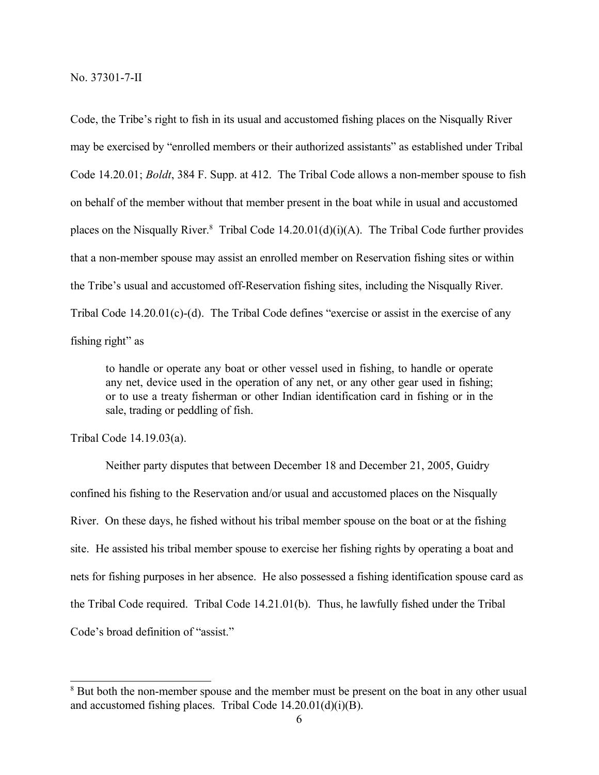Code, the Tribe's right to fish in its usual and accustomed fishing places on the Nisqually River may be exercised by "enrolled members or their authorized assistants" as established under Tribal Code 14.20.01; *Boldt*, 384 F. Supp. at 412. The Tribal Code allows a non-member spouse to fish on behalf of the member without that member present in the boat while in usual and accustomed places on the Nisqually River.<sup>8</sup> Tribal Code  $14.20.01(d)(i)(A)$ . The Tribal Code further provides that a non-member spouse may assist an enrolled member on Reservation fishing sites or within the Tribe's usual and accustomed off-Reservation fishing sites, including the Nisqually River. Tribal Code  $14.20.01(c)$ -(d). The Tribal Code defines "exercise or assist in the exercise of any fishing right" as

to handle or operate any boat or other vessel used in fishing, to handle or operate any net, device used in the operation of any net, or any other gear used in fishing; or to use a treaty fisherman or other Indian identification card in fishing or in the sale, trading or peddling of fish.

Tribal Code 14.19.03(a).

Neither party disputes that between December 18 and December 21, 2005, Guidry confined his fishing to the Reservation and/or usual and accustomed places on the Nisqually River. On these days, he fished without his tribal member spouse on the boat or at the fishing site. He assisted his tribal member spouse to exercise her fishing rights by operating a boat and nets for fishing purposes in her absence. He also possessed a fishing identification spouse card as the Tribal Code required. Tribal Code 14.21.01(b). Thus, he lawfully fished under the Tribal Code's broad definition of "assist."

<sup>&</sup>lt;sup>8</sup> But both the non-member spouse and the member must be present on the boat in any other usual and accustomed fishing places. Tribal Code  $14.20.01(d)(i)(B)$ .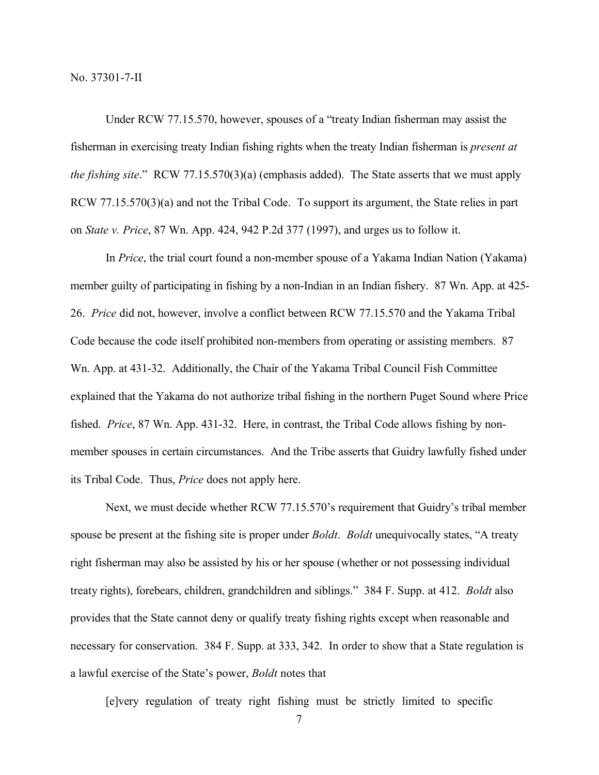Under RCW 77.15.570, however, spouses of a "treaty Indian fisherman may assist the fisherman in exercising treaty Indian fishing rights when the treaty Indian fisherman is *present at the fishing site*." RCW 77.15.570(3)(a) (emphasis added). The State asserts that we must apply RCW 77.15.570(3)(a) and not the Tribal Code. To support its argument, the State relies in part on *State v. Price*, 87 Wn. App. 424, 942 P.2d 377 (1997), and urges us to follow it.

In *Price*, the trial court found a non-member spouse of a Yakama Indian Nation (Yakama) member guilty of participating in fishing by a non-Indian in an Indian fishery. 87 Wn. App. at 425- 26. *Price* did not, however, involve a conflict between RCW 77.15.570 and the Yakama Tribal Code because the code itself prohibited non-members from operating or assisting members. 87 Wn. App. at 431-32. Additionally, the Chair of the Yakama Tribal Council Fish Committee explained that the Yakama do not authorize tribal fishing in the northern Puget Sound where Price fished. *Price*, 87 Wn. App. 431-32. Here, in contrast, the Tribal Code allows fishing by nonmember spouses in certain circumstances. And the Tribe asserts that Guidry lawfully fished under its Tribal Code. Thus, *Price* does not apply here.

Next, we must decide whether RCW 77.15.570's requirement that Guidry's tribal member spouse be present at the fishing site is proper under *Boldt*. *Boldt* unequivocally states, "A treaty right fisherman may also be assisted by his or her spouse (whether or not possessing individual treaty rights), forebears, children, grandchildren and siblings." 384 F. Supp. at 412. *Boldt* also provides that the State cannot deny or qualify treaty fishing rights except when reasonable and necessary for conservation. 384 F. Supp. at 333, 342. In order to show that a State regulation is a lawful exercise of the State's power, *Boldt* notes that

[e]very regulation of treaty right fishing must be strictly limited to specific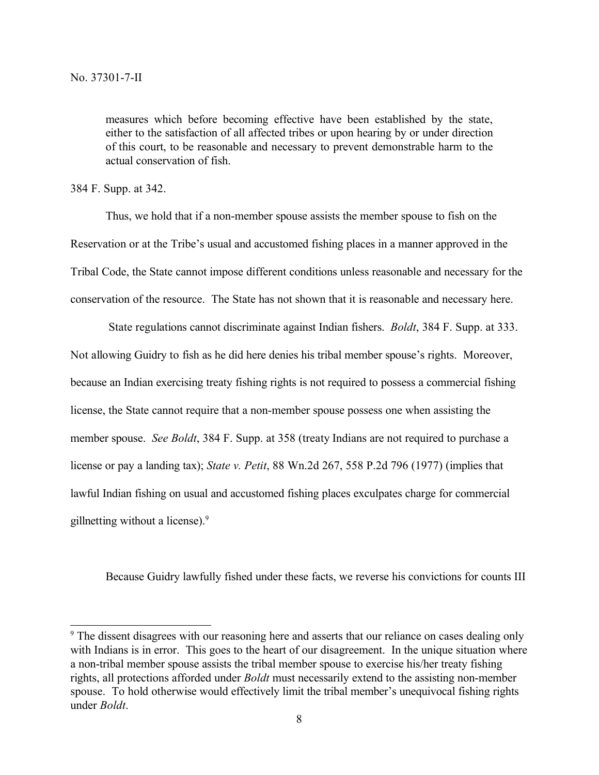measures which before becoming effective have been established by the state, either to the satisfaction of all affected tribes or upon hearing by or under direction of this court, to be reasonable and necessary to prevent demonstrable harm to the actual conservation of fish.

384 F. Supp. at 342.

Thus, we hold that if a non-member spouse assists the member spouse to fish on the Reservation or at the Tribe's usual and accustomed fishing places in a manner approved in the Tribal Code, the State cannot impose different conditions unless reasonable and necessary for the conservation of the resource. The State has not shown that it is reasonable and necessary here.

State regulations cannot discriminate against Indian fishers. *Boldt*, 384 F. Supp. at 333. Not allowing Guidry to fish as he did here denies his tribal member spouse's rights. Moreover, because an Indian exercising treaty fishing rights is not required to possess a commercial fishing license, the State cannot require that a non-member spouse possess one when assisting the member spouse. *See Boldt*, 384 F. Supp. at 358 (treaty Indians are not required to purchase a license or pay a landing tax); *State v. Petit*, 88 Wn.2d 267, 558 P.2d 796 (1977) (implies that lawful Indian fishing on usual and accustomed fishing places exculpates charge for commercial gillnetting without a license).<sup>9</sup>

Because Guidry lawfully fished under these facts, we reverse his convictions for counts III

<sup>&</sup>lt;sup>9</sup> The dissent disagrees with our reasoning here and asserts that our reliance on cases dealing only with Indians is in error. This goes to the heart of our disagreement. In the unique situation where a non-tribal member spouse assists the tribal member spouse to exercise his/her treaty fishing rights, all protections afforded under *Boldt* must necessarily extend to the assisting non-member spouse. To hold otherwise would effectively limit the tribal member's unequivocal fishing rights under *Boldt*.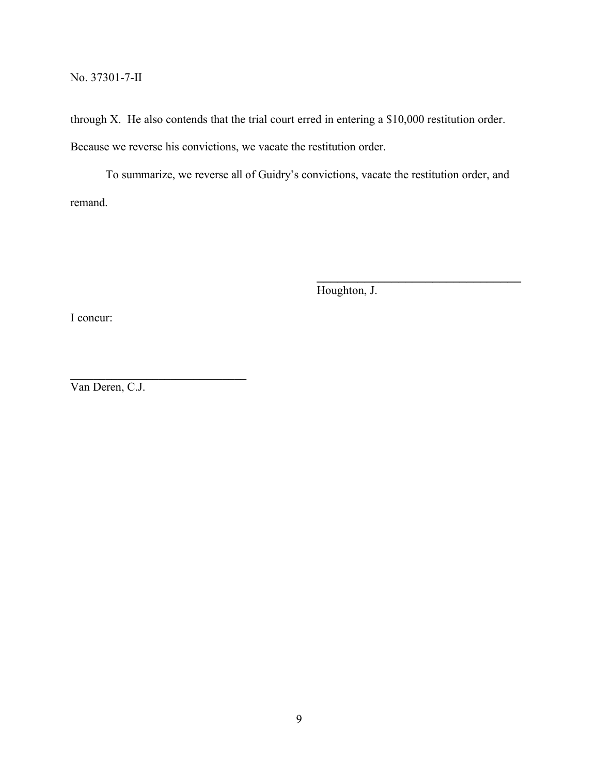through X. He also contends that the trial court erred in entering a \$10,000 restitution order. Because we reverse his convictions, we vacate the restitution order.

To summarize, we reverse all of Guidry's convictions, vacate the restitution order, and remand.

Houghton, J.

**\_\_\_\_\_\_\_\_\_\_\_\_\_\_\_\_\_\_\_\_\_\_\_\_\_\_\_\_\_\_**

I concur:

Van Deren, C.J.

 $\mathcal{L}_\text{max}$  , where  $\mathcal{L}_\text{max}$  and  $\mathcal{L}_\text{max}$  and  $\mathcal{L}_\text{max}$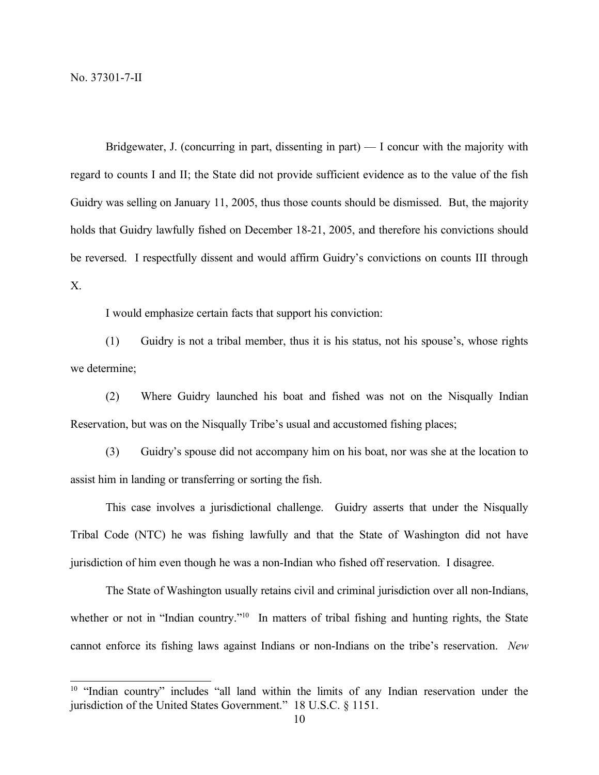Bridgewater, J. (concurring in part, dissenting in part) — I concur with the majority with regard to counts I and II; the State did not provide sufficient evidence as to the value of the fish Guidry was selling on January 11, 2005, thus those counts should be dismissed. But, the majority holds that Guidry lawfully fished on December 18-21, 2005, and therefore his convictions should be reversed. I respectfully dissent and would affirm Guidry's convictions on counts III through X.

I would emphasize certain facts that support his conviction:

(1) Guidry is not a tribal member, thus it is his status, not his spouse's, whose rights we determine;

(2) Where Guidry launched his boat and fished was not on the Nisqually Indian Reservation, but was on the Nisqually Tribe's usual and accustomed fishing places;

(3) Guidry's spouse did not accompany him on his boat, nor was she at the location to assist him in landing or transferring or sorting the fish.

This case involves a jurisdictional challenge. Guidry asserts that under the Nisqually Tribal Code (NTC) he was fishing lawfully and that the State of Washington did not have jurisdiction of him even though he was a non-Indian who fished off reservation. I disagree.

The State of Washington usually retains civil and criminal jurisdiction over all non-Indians, whether or not in "Indian country."<sup>10</sup> In matters of tribal fishing and hunting rights, the State cannot enforce its fishing laws against Indians or non-Indians on the tribe's reservation. *New*

<sup>&</sup>lt;sup>10</sup> "Indian country" includes "all land within the limits of any Indian reservation under the jurisdiction of the United States Government." 18 U.S.C. § 1151.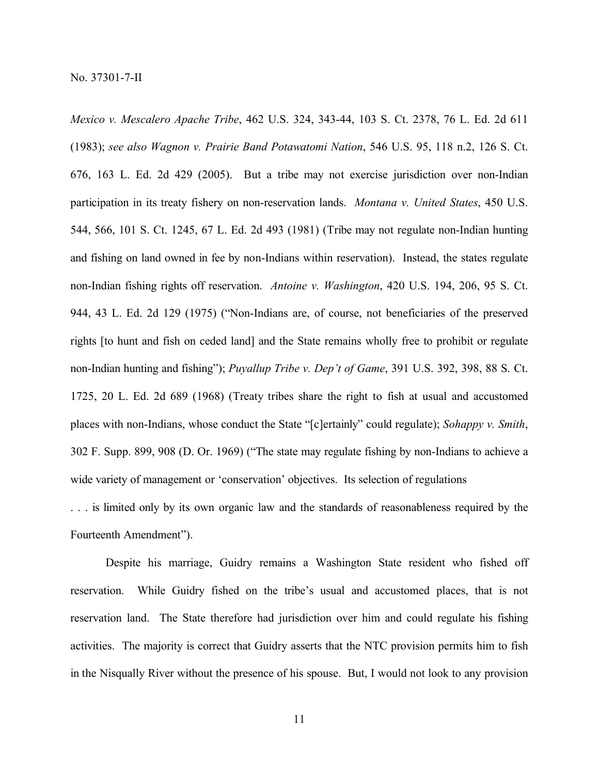*Mexico v. Mescalero Apache Tribe*, 462 U.S. 324, 343-44, 103 S. Ct. 2378, 76 L. Ed. 2d 611 (1983); *see also Wagnon v. Prairie Band Potawatomi Nation*, 546 U.S. 95, 118 n.2, 126 S. Ct. 676, 163 L. Ed. 2d 429 (2005). But a tribe may not exercise jurisdiction over non-Indian participation in its treaty fishery on non-reservation lands. *Montana v. United States*, 450 U.S. 544, 566, 101 S. Ct. 1245, 67 L. Ed. 2d 493 (1981) (Tribe may not regulate non-Indian hunting and fishing on land owned in fee by non-Indians within reservation). Instead, the states regulate non-Indian fishing rights off reservation. *Antoine v. Washington*, 420 U.S. 194, 206, 95 S. Ct. 944, 43 L. Ed. 2d 129 (1975) ("Non-Indians are, of course, not beneficiaries of the preserved rights [to hunt and fish on ceded land] and the State remains wholly free to prohibit or regulate non-Indian hunting and fishing"); *Puyallup Tribe v. Dep't of Game*, 391 U.S. 392, 398, 88 S. Ct. 1725, 20 L. Ed. 2d 689 (1968) (Treaty tribes share the right to fish at usual and accustomed places with non-Indians, whose conduct the State "[c]ertainly" could regulate); *Sohappy v. Smith*, 302 F. Supp. 899, 908 (D. Or. 1969) ("The state may regulate fishing by non-Indians to achieve a wide variety of management or 'conservation' objectives. Its selection of regulations . . . is limited only by its own organic law and the standards of reasonableness required by the

Fourteenth Amendment").

Despite his marriage, Guidry remains a Washington State resident who fished off reservation. While Guidry fished on the tribe's usual and accustomed places, that is not reservation land. The State therefore had jurisdiction over him and could regulate his fishing activities. The majority is correct that Guidry asserts that the NTC provision permits him to fish in the Nisqually River without the presence of his spouse. But, I would not look to any provision

11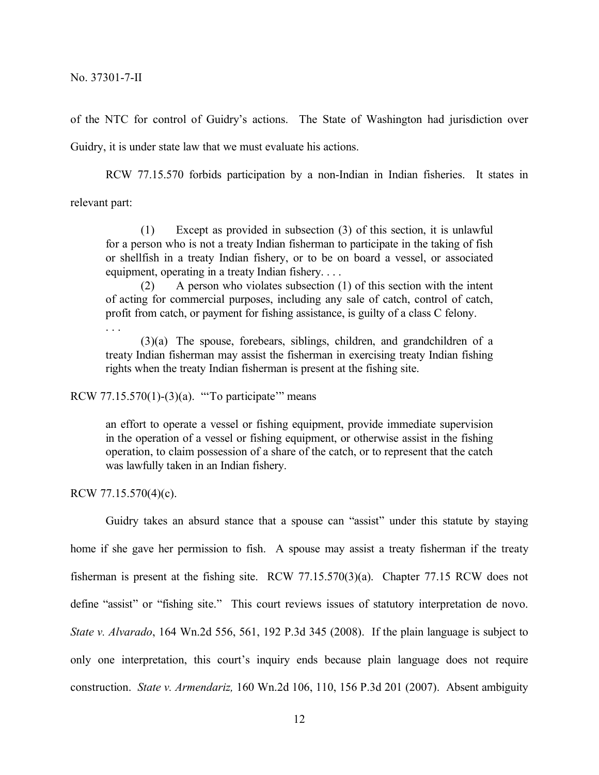of the NTC for control of Guidry's actions. The State of Washington had jurisdiction over

Guidry, it is under state law that we must evaluate his actions.

RCW 77.15.570 forbids participation by a non-Indian in Indian fisheries. It states in relevant part:

(1) Except as provided in subsection (3) of this section, it is unlawful for a person who is not a treaty Indian fisherman to participate in the taking of fish or shellfish in a treaty Indian fishery, or to be on board a vessel, or associated equipment, operating in a treaty Indian fishery. . . .

(2) A person who violates subsection (1) of this section with the intent of acting for commercial purposes, including any sale of catch, control of catch, profit from catch, or payment for fishing assistance, is guilty of a class C felony.

. . .

(3)(a) The spouse, forebears, siblings, children, and grandchildren of a treaty Indian fisherman may assist the fisherman in exercising treaty Indian fishing rights when the treaty Indian fisherman is present at the fishing site.

RCW  $77.15.570(1)$ -(3)(a). "To participate" means

an effort to operate a vessel or fishing equipment, provide immediate supervision in the operation of a vessel or fishing equipment, or otherwise assist in the fishing operation, to claim possession of a share of the catch, or to represent that the catch was lawfully taken in an Indian fishery.

RCW 77.15.570(4)(c).

Guidry takes an absurd stance that a spouse can "assist" under this statute by staying home if she gave her permission to fish. A spouse may assist a treaty fisherman if the treaty fisherman is present at the fishing site. RCW 77.15.570(3)(a). Chapter 77.15 RCW does not define "assist" or "fishing site." This court reviews issues of statutory interpretation de novo. *State v. Alvarado*, 164 Wn.2d 556, 561, 192 P.3d 345 (2008). If the plain language is subject to only one interpretation, this court's inquiry ends because plain language does not require construction. *State v. Armendariz,* 160 Wn.2d 106, 110, 156 P.3d 201 (2007). Absent ambiguity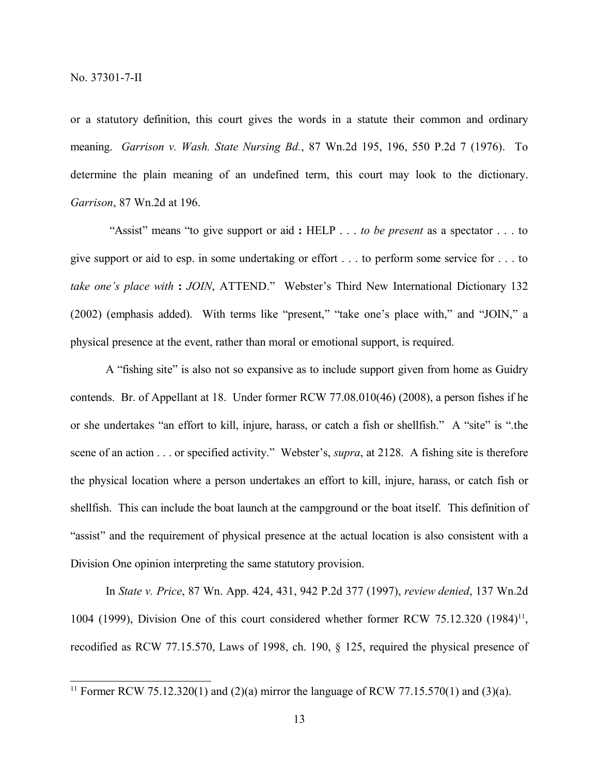or a statutory definition, this court gives the words in a statute their common and ordinary meaning. *Garrison v. Wash. State Nursing Bd.*, 87 Wn.2d 195, 196, 550 P.2d 7 (1976). To determine the plain meaning of an undefined term, this court may look to the dictionary. *Garrison*, 87 Wn.2d at 196.

"Assist" means "to give support or aid **:** HELP . . . *to be present* as a spectator . . . to give support or aid to esp. in some undertaking or effort . . . to perform some service for . . . to *take one's place with* **:** *JOIN*, ATTEND." Webster's Third New International Dictionary 132 (2002) (emphasis added). With terms like "present," "take one's place with," and "JOIN," a physical presence at the event, rather than moral or emotional support, is required.

A "fishing site" is also not so expansive as to include support given from home as Guidry contends. Br. of Appellant at 18. Under former RCW 77.08.010(46) (2008), a person fishes if he or she undertakes "an effort to kill, injure, harass, or catch a fish or shellfish." A "site" is ".the scene of an action . . . or specified activity." Webster's, *supra*, at 2128. A fishing site is therefore the physical location where a person undertakes an effort to kill, injure, harass, or catch fish or shellfish. This can include the boat launch at the campground or the boat itself. This definition of "assist" and the requirement of physical presence at the actual location is also consistent with a Division One opinion interpreting the same statutory provision.

In *State v. Price*, 87 Wn. App. 424, 431, 942 P.2d 377 (1997), *review denied*, 137 Wn.2d 1004 (1999), Division One of this court considered whether former RCW 75.12.320 (1984)<sup>11</sup>, recodified as RCW 77.15.570, Laws of 1998, ch. 190, § 125, required the physical presence of

<sup>&</sup>lt;sup>11</sup> Former RCW 75.12.320(1) and (2)(a) mirror the language of RCW 77.15.570(1) and (3)(a).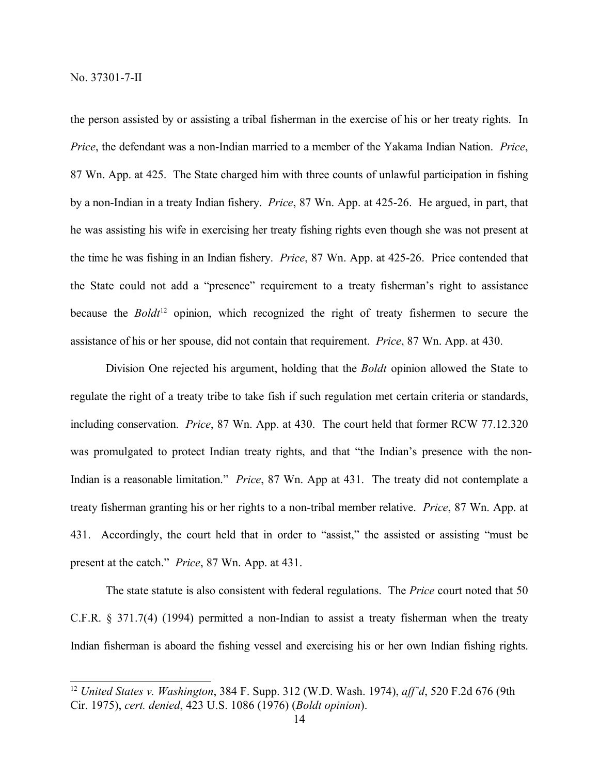the person assisted by or assisting a tribal fisherman in the exercise of his or her treaty rights. In *Price*, the defendant was a non-Indian married to a member of the Yakama Indian Nation. *Price*, 87 Wn. App. at 425. The State charged him with three counts of unlawful participation in fishing by a non-Indian in a treaty Indian fishery. *Price*, 87 Wn. App. at 425-26. He argued, in part, that he was assisting his wife in exercising her treaty fishing rights even though she was not present at the time he was fishing in an Indian fishery. *Price*, 87 Wn. App. at 425-26. Price contended that the State could not add a "presence" requirement to a treaty fisherman's right to assistance because the *Boldt*<sup>12</sup> opinion, which recognized the right of treaty fishermen to secure the assistance of his or her spouse, did not contain that requirement. *Price*, 87 Wn. App. at 430.

Division One rejected his argument, holding that the *Boldt* opinion allowed the State to regulate the right of a treaty tribe to take fish if such regulation met certain criteria or standards, including conservation. *Price*, 87 Wn. App. at 430. The court held that former RCW 77.12.320 was promulgated to protect Indian treaty rights, and that "the Indian's presence with the non-Indian is a reasonable limitation." *Price*, 87 Wn. App at 431. The treaty did not contemplate a treaty fisherman granting his or her rights to a non-tribal member relative. *Price*, 87 Wn. App. at 431. Accordingly, the court held that in order to "assist," the assisted or assisting "must be present at the catch." *Price*, 87 Wn. App. at 431.

The state statute is also consistent with federal regulations. The *Price* court noted that 50 C.F.R. § 371.7(4) (1994) permitted a non-Indian to assist a treaty fisherman when the treaty Indian fisherman is aboard the fishing vessel and exercising his or her own Indian fishing rights.

<sup>12</sup> *United States v. Washington*, 384 F. Supp. 312 (W.D. Wash. 1974), *aff'd*, 520 F.2d 676 (9th Cir. 1975), *cert. denied*, 423 U.S. 1086 (1976) (*Boldt opinion*).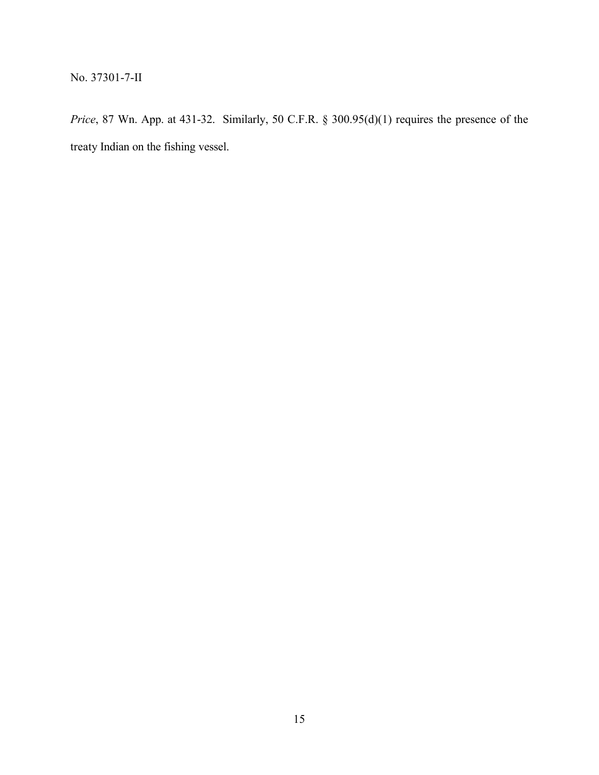*Price*, 87 Wn. App. at 431-32. Similarly, 50 C.F.R. § 300.95(d)(1) requires the presence of the treaty Indian on the fishing vessel.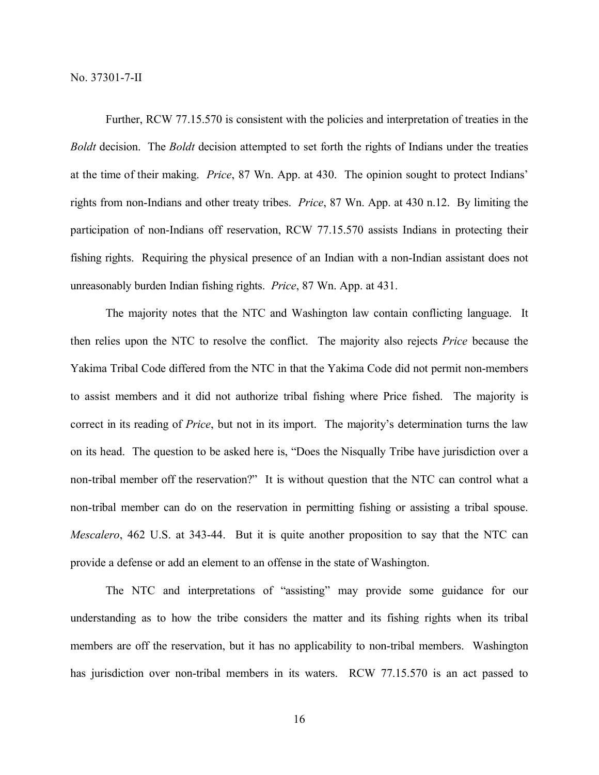Further, RCW 77.15.570 is consistent with the policies and interpretation of treaties in the *Boldt* decision. The *Boldt* decision attempted to set forth the rights of Indians under the treaties at the time of their making. *Price*, 87 Wn. App. at 430. The opinion sought to protect Indians' rights from non-Indians and other treaty tribes. *Price*, 87 Wn. App. at 430 n.12. By limiting the participation of non-Indians off reservation, RCW 77.15.570 assists Indians in protecting their fishing rights. Requiring the physical presence of an Indian with a non-Indian assistant does not unreasonably burden Indian fishing rights. *Price*, 87 Wn. App. at 431.

The majority notes that the NTC and Washington law contain conflicting language. It then relies upon the NTC to resolve the conflict. The majority also rejects *Price* because the Yakima Tribal Code differed from the NTC in that the Yakima Code did not permit non-members to assist members and it did not authorize tribal fishing where Price fished. The majority is correct in its reading of *Price*, but not in its import. The majority's determination turns the law on its head. The question to be asked here is, "Does the Nisqually Tribe have jurisdiction over a non-tribal member off the reservation?" It is without question that the NTC can control what a non-tribal member can do on the reservation in permitting fishing or assisting a tribal spouse. *Mescalero*, 462 U.S. at 343-44. But it is quite another proposition to say that the NTC can provide a defense or add an element to an offense in the state of Washington.

The NTC and interpretations of "assisting" may provide some guidance for our understanding as to how the tribe considers the matter and its fishing rights when its tribal members are off the reservation, but it has no applicability to non-tribal members. Washington has jurisdiction over non-tribal members in its waters. RCW 77.15.570 is an act passed to

16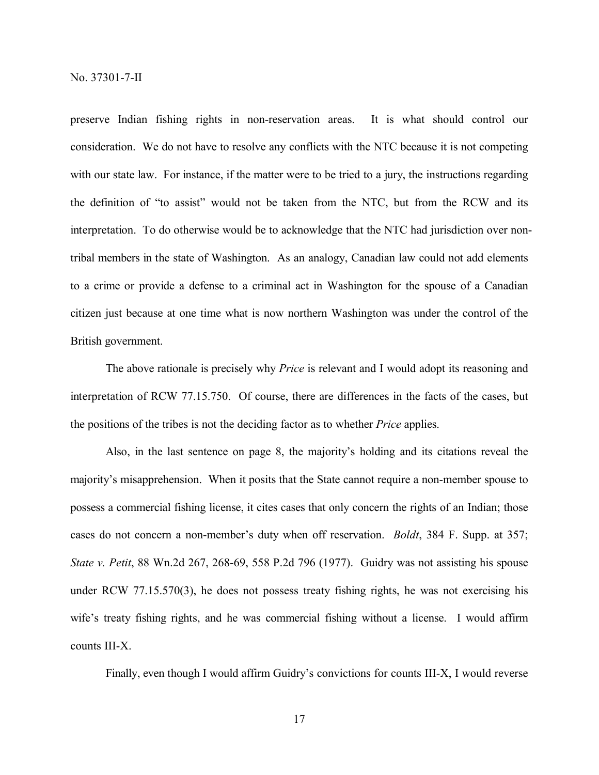preserve Indian fishing rights in non-reservation areas. It is what should control our consideration. We do not have to resolve any conflicts with the NTC because it is not competing with our state law. For instance, if the matter were to be tried to a jury, the instructions regarding the definition of "to assist" would not be taken from the NTC, but from the RCW and its interpretation. To do otherwise would be to acknowledge that the NTC had jurisdiction over nontribal members in the state of Washington. As an analogy, Canadian law could not add elements to a crime or provide a defense to a criminal act in Washington for the spouse of a Canadian citizen just because at one time what is now northern Washington was under the control of the British government.

The above rationale is precisely why *Price* is relevant and I would adopt its reasoning and interpretation of RCW 77.15.750. Of course, there are differences in the facts of the cases, but the positions of the tribes is not the deciding factor as to whether *Price* applies.

Also, in the last sentence on page 8, the majority's holding and its citations reveal the majority's misapprehension. When it posits that the State cannot require a non-member spouse to possess a commercial fishing license, it cites cases that only concern the rights of an Indian; those cases do not concern a non-member's duty when off reservation. *Boldt*, 384 F. Supp. at 357; *State v. Petit*, 88 Wn.2d 267, 268-69, 558 P.2d 796 (1977). Guidry was not assisting his spouse under RCW 77.15.570(3), he does not possess treaty fishing rights, he was not exercising his wife's treaty fishing rights, and he was commercial fishing without a license. I would affirm counts III-X.

Finally, even though I would affirm Guidry's convictions for counts III-X, I would reverse